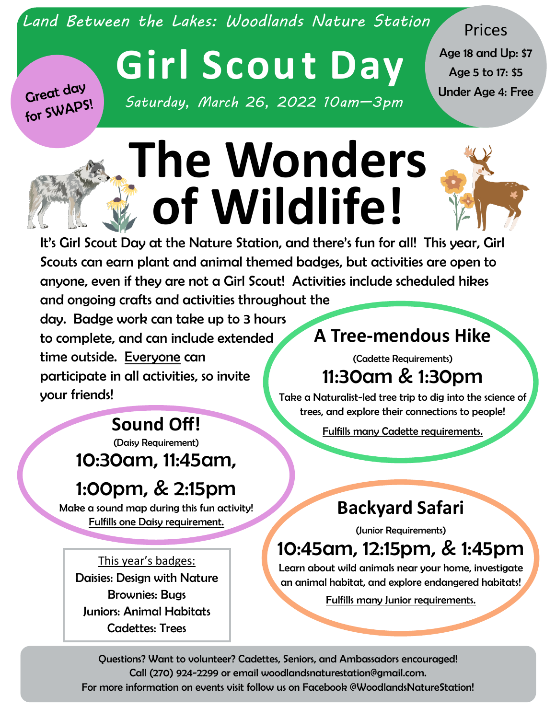*Land Between the Lakes: Woodlands Nature Station*

Prices

Age 18 and Up: \$7 Age 5 to 17: \$5

Great day for SWAPS!

# **Girl Scou t Day** Under Age 4: Free *Saturday, March 26, 2022 10am—3pm*

**The Wonders of Wildlife!**



It's Girl Scout Day at the Nature Station, and there's fun for all! This year, Girl Scouts can earn plant and animal themed badges, but activities are open to anyone, even if they are not a Girl Scout! Activities include scheduled hikes and ongoing crafts and activities throughout the

day. Badge work can take up to 3 hours to complete, and can include extended time outside. Everyone can participate in all activities, so invite your friends!

#### **A Tree-mendous Hike**

(Cadette Requirements) 11:30am & 1:30pm

Take a Naturalist-led tree trip to dig into the science of trees, and explore their connections to people!

Fulfills many Cadette requirements.

## **Sound Off!**

(Daisy Requirement) 10:30am, 11:45am,

### 1:00pm, & 2:15pm

Make a sound map during this fun activity! Fulfills one Daisy requirement.

This year's badges: Daisies: Design with Nature Brownies: Bugs Juniors: Animal Habitats Cadettes: Trees

#### **Backyard Safari**

(Junior Requirements)

#### 10:45am, 12:15pm, & 1:45pm

Learn about wild animals near your home, investigate an animal habitat, and explore endangered habitats!

Fulfills many Junior requirements.

Questions? Want to volunteer? Cadettes, Seniors, and Ambassadors encouraged! Call (270) 924-2299 or email woodlandsnaturestation@gmail.com. For more information on events visit follow us on Facebook @WoodlandsNatureStation!